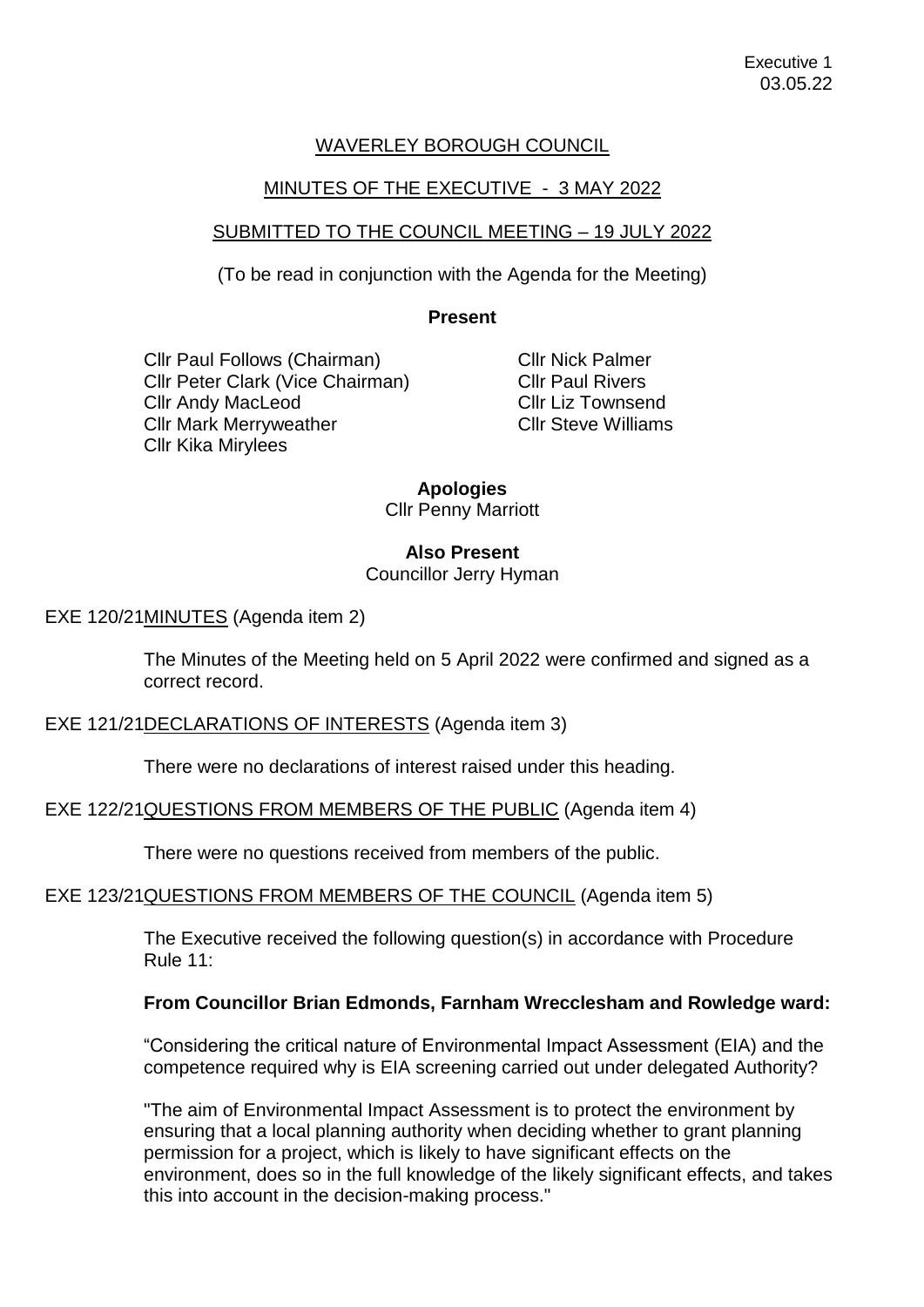# WAVERLEY BOROUGH COUNCIL

## MINUTES OF THE EXECUTIVE - 3 MAY 2022

## SUBMITTED TO THE COUNCIL MEETING – 19 JULY 2022

(To be read in conjunction with the Agenda for the Meeting)

### **Present**

Cllr Paul Follows (Chairman) Cllr Peter Clark (Vice Chairman) Cllr Andy MacLeod Cllr Mark Merryweather Cllr Kika Mirylees

Cllr Nick Palmer Cllr Paul Rivers Cllr Liz Townsend Cllr Steve Williams

### **Apologies**

Cllr Penny Marriott

### **Also Present**

Councillor Jerry Hyman

EXE 120/21MINUTES (Agenda item 2)

The Minutes of the Meeting held on 5 April 2022 were confirmed and signed as a correct record.

EXE 121/21DECLARATIONS OF INTERESTS (Agenda item 3)

There were no declarations of interest raised under this heading.

### EXE 122/21QUESTIONS FROM MEMBERS OF THE PUBLIC (Agenda item 4)

There were no questions received from members of the public.

### EXE 123/21QUESTIONS FROM MEMBERS OF THE COUNCIL (Agenda item 5)

The Executive received the following question(s) in accordance with Procedure Rule 11:

### **From Councillor Brian Edmonds, Farnham Wrecclesham and Rowledge ward:**

"Considering the critical nature of Environmental Impact Assessment (EIA) and the competence required why is EIA screening carried out under delegated Authority?

"The aim of Environmental Impact Assessment is to protect the environment by ensuring that a local planning authority when deciding whether to grant planning permission for a project, which is likely to have significant effects on the environment, does so in the full knowledge of the likely significant effects, and takes this into account in the decision-making process."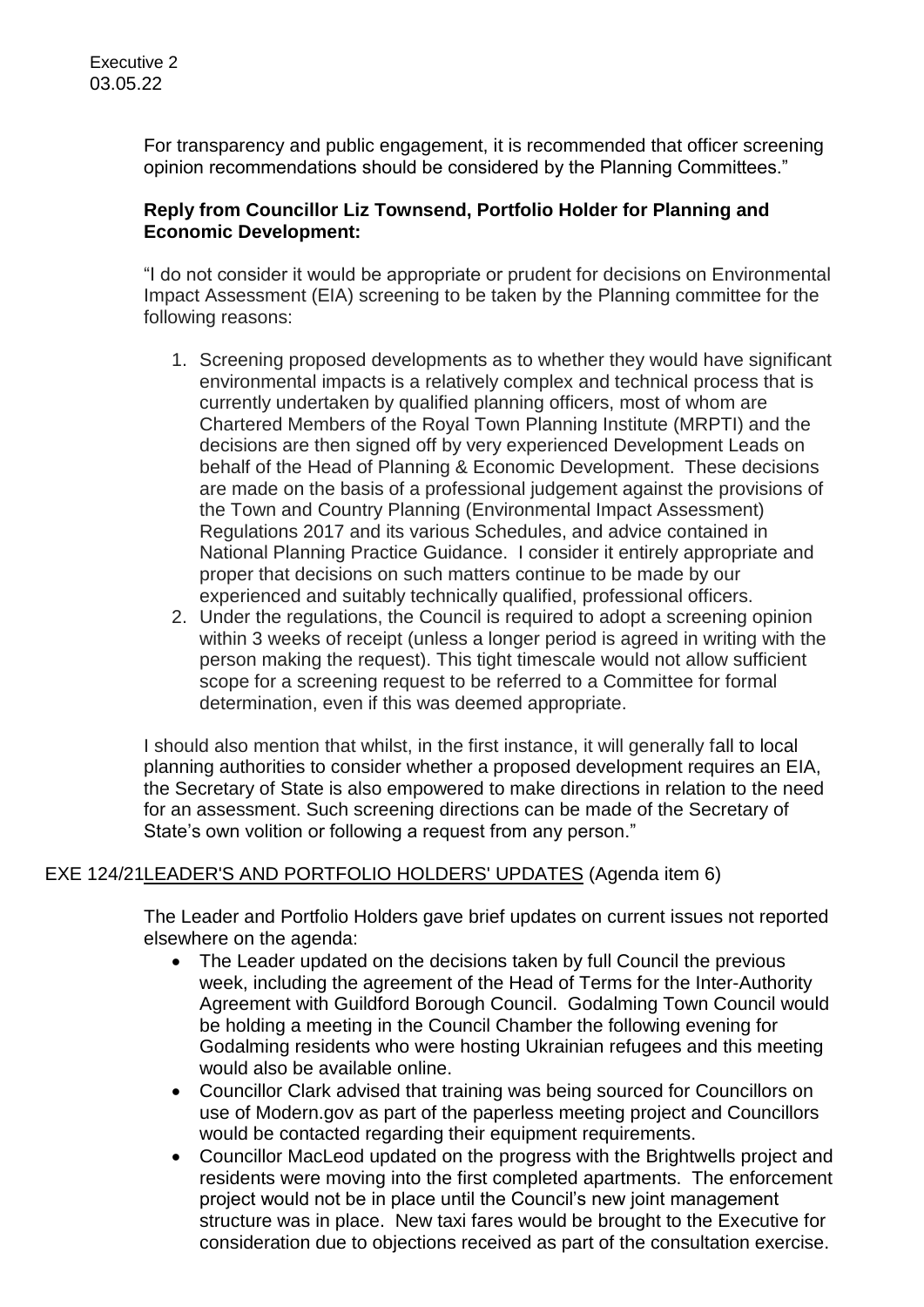For transparency and public engagement, it is recommended that officer screening opinion recommendations should be considered by the Planning Committees."

## **Reply from Councillor Liz Townsend, Portfolio Holder for Planning and Economic Development:**

"I do not consider it would be appropriate or prudent for decisions on Environmental Impact Assessment (EIA) screening to be taken by the Planning committee for the following reasons:

- 1. Screening proposed developments as to whether they would have significant environmental impacts is a relatively complex and technical process that is currently undertaken by qualified planning officers, most of whom are Chartered Members of the Royal Town Planning Institute (MRPTI) and the decisions are then signed off by very experienced Development Leads on behalf of the Head of Planning & Economic Development. These decisions are made on the basis of a professional judgement against the provisions of the Town and Country Planning (Environmental Impact Assessment) Regulations 2017 and its various Schedules, and advice contained in National Planning Practice Guidance. I consider it entirely appropriate and proper that decisions on such matters continue to be made by our experienced and suitably technically qualified, professional officers.
- 2. Under the regulations, the Council is required to adopt a screening opinion within 3 weeks of receipt (unless a longer period is agreed in writing with the person making the request). This tight timescale would not allow sufficient scope for a screening request to be referred to a Committee for formal determination, even if this was deemed appropriate.

I should also mention that whilst, in the first instance, it will generally fall to local planning authorities to consider whether a proposed development requires an EIA, the Secretary of State is also empowered to make directions in relation to the need for an assessment. Such screening directions can be made of the Secretary of State's own volition or following a request from any person."

# EXE 124/21LEADER'S AND PORTFOLIO HOLDERS' UPDATES (Agenda item 6)

The Leader and Portfolio Holders gave brief updates on current issues not reported elsewhere on the agenda:

- The Leader updated on the decisions taken by full Council the previous week, including the agreement of the Head of Terms for the Inter-Authority Agreement with Guildford Borough Council. Godalming Town Council would be holding a meeting in the Council Chamber the following evening for Godalming residents who were hosting Ukrainian refugees and this meeting would also be available online.
- Councillor Clark advised that training was being sourced for Councillors on use of Modern.gov as part of the paperless meeting project and Councillors would be contacted regarding their equipment requirements.
- Councillor MacLeod updated on the progress with the Brightwells project and residents were moving into the first completed apartments. The enforcement project would not be in place until the Council's new joint management structure was in place. New taxi fares would be brought to the Executive for consideration due to objections received as part of the consultation exercise.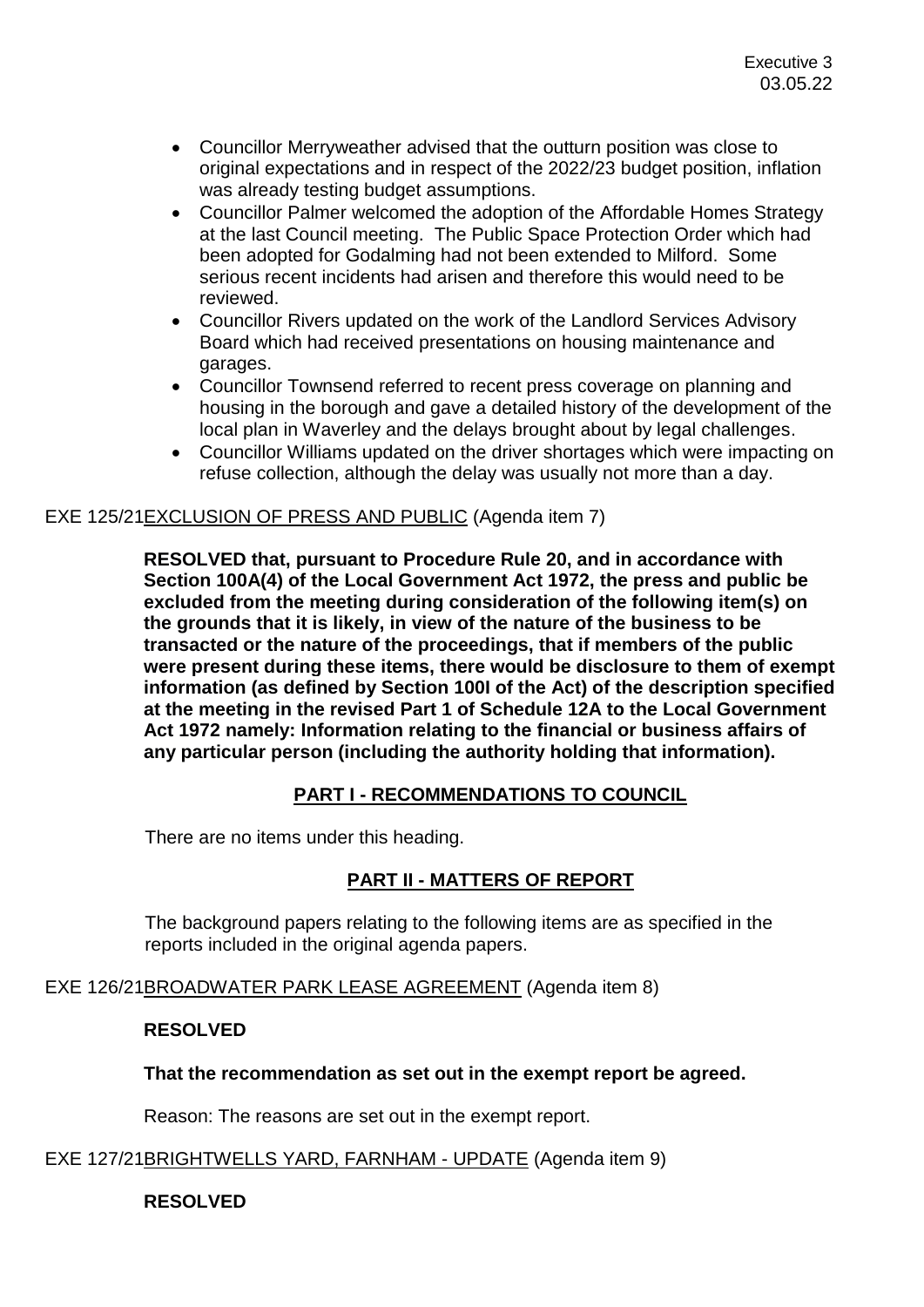- Councillor Merryweather advised that the outturn position was close to original expectations and in respect of the 2022/23 budget position, inflation was already testing budget assumptions.
- Councillor Palmer welcomed the adoption of the Affordable Homes Strategy at the last Council meeting. The Public Space Protection Order which had been adopted for Godalming had not been extended to Milford. Some serious recent incidents had arisen and therefore this would need to be reviewed.
- Councillor Rivers updated on the work of the Landlord Services Advisory Board which had received presentations on housing maintenance and garages.
- Councillor Townsend referred to recent press coverage on planning and housing in the borough and gave a detailed history of the development of the local plan in Waverley and the delays brought about by legal challenges.
- Councillor Williams updated on the driver shortages which were impacting on refuse collection, although the delay was usually not more than a day.

### EXE 125/21EXCLUSION OF PRESS AND PUBLIC (Agenda item 7)

**RESOLVED that, pursuant to Procedure Rule 20, and in accordance with Section 100A(4) of the Local Government Act 1972, the press and public be excluded from the meeting during consideration of the following item(s) on the grounds that it is likely, in view of the nature of the business to be transacted or the nature of the proceedings, that if members of the public were present during these items, there would be disclosure to them of exempt information (as defined by Section 100I of the Act) of the description specified at the meeting in the revised Part 1 of Schedule 12A to the Local Government Act 1972 namely: Information relating to the financial or business affairs of any particular person (including the authority holding that information).**

### **PART I - RECOMMENDATIONS TO COUNCIL**

There are no items under this heading.

### **PART II - MATTERS OF REPORT**

The background papers relating to the following items are as specified in the reports included in the original agenda papers.

EXE 126/21BROADWATER PARK LEASE AGREEMENT (Agenda item 8)

#### **RESOLVED**

### **That the recommendation as set out in the exempt report be agreed.**

Reason: The reasons are set out in the exempt report.

### EXE 127/21BRIGHTWELLS YARD, FARNHAM - UPDATE (Agenda item 9)

### **RESOLVED**